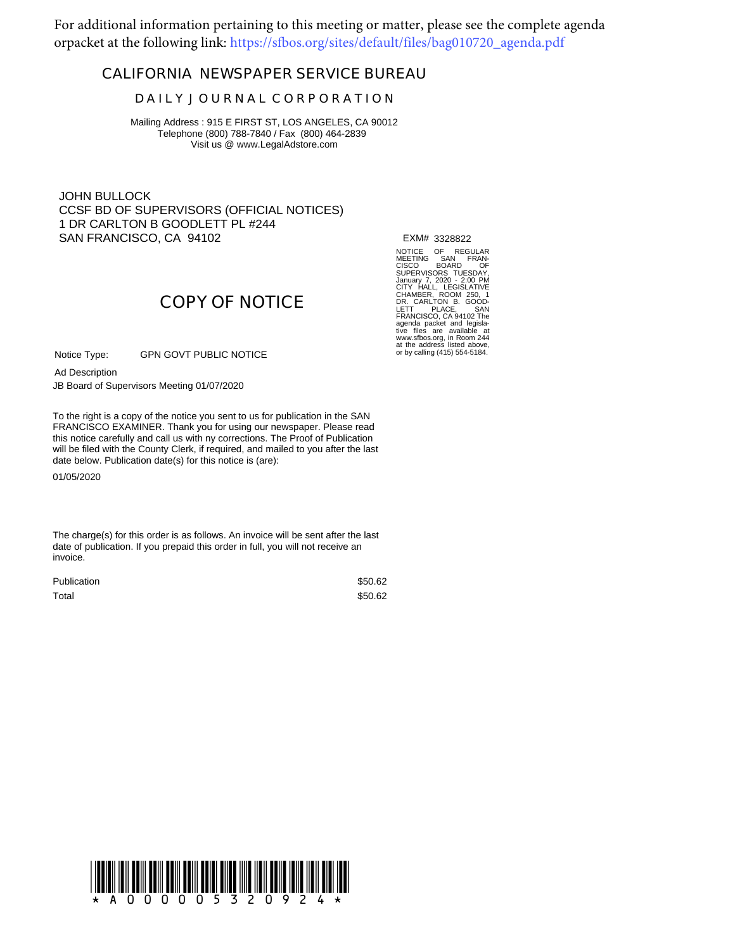For additional information pertaining to this meeting or matter, please see the complete agenda orpacket at the following link: https://sfbos.org/sites/default/files/bag010720\_agenda.pdf

## **CALIFORNIA NEWSPAPER SERVICE BUREAU**

## **D A I L Y J O U R N A L C O R P O R A T I O N**

Mailing Address : 915 E FIRST ST, LOS ANGELES, CA 90012 Telephone (800) 788-7840 / Fax (800) 464-2839 Visit us @ www.LegalAdstore.com

JOHN BULLOCK CCSF BD OF SUPERVISORS (OFFICIAL NOTICES) 1 DR CARLTON B GOODLETT PL #244 SAN FRANCISCO, CA 94102

EXM# 3328822

NOTICE OF REGULAR<br>MEETING SAN FRAN-<br>SUPERVISORS TUESDAY,<br>SUPERVISORS TUESDAY,<br>January 7, 2020 - 2:00 PM<br>January 7, 2020 - 2:00 PM<br>January 7, 2020 - 2:00 PM<br>DR. CARLTON B. GOOD-<br>DR. CARLTON B. GOOD-<br>TRANCISCO, CA 94102 The<br>

# **COPY OF NOTICE**

GPN GOVT PUBLIC NOTICE Notice Type:

Ad Description

JB Board of Supervisors Meeting 01/07/2020

FRANCISCO EXAMINER. Thank you for using our newspaper. Please read<br>this notice carefully and call us with ny corrections. The Proof of Publication To the right is a copy of the notice you sent to us for publication in the SAN FRANCISCO EXAMINER. Thank you for using our newspaper. Please read will be filed with the County Clerk, if required, and mailed to you after the last date below. Publication date(s) for this notice is (are):

01/05/2020

The charge(s) for this order is as follows. An invoice will be sent after the last date of publication. If you prepaid this order in full, you will not receive an invoice.

| <b>Publication</b> | \$50.62 |
|--------------------|---------|
| Total              | \$50.62 |